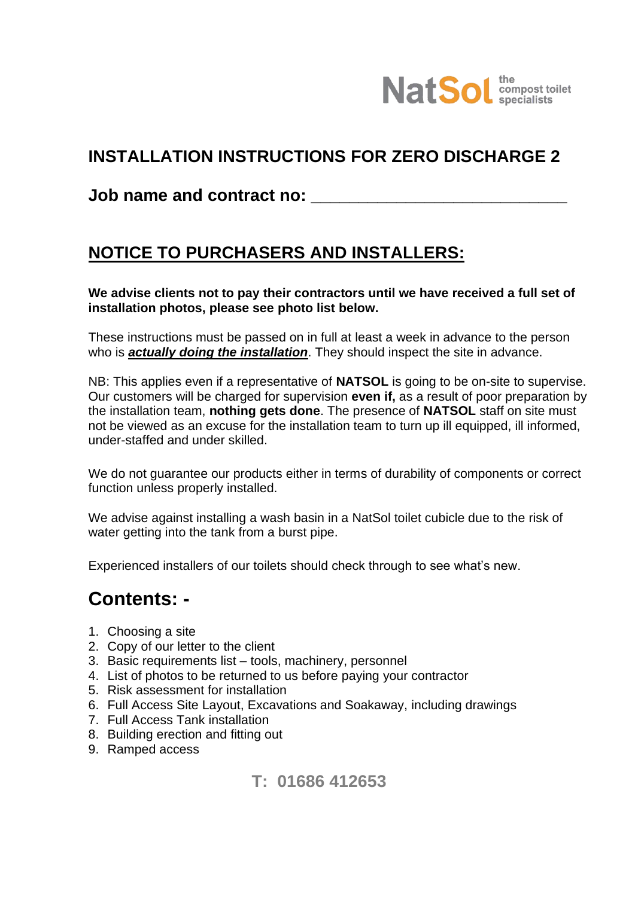

# **INSTALLATION INSTRUCTIONS FOR ZERO DISCHARGE 2**

## **Job name and contract no: Domain Exercise 2018**

# **NOTICE TO PURCHASERS AND INSTALLERS:**

**We advise clients not to pay their contractors until we have received a full set of installation photos, please see photo list below.**

These instructions must be passed on in full at least a week in advance to the person who is *actually doing the installation*. They should inspect the site in advance.

NB: This applies even if a representative of **NATSOL** is going to be on-site to supervise. Our customers will be charged for supervision **even if,** as a result of poor preparation by the installation team, **nothing gets done**. The presence of **NATSOL** staff on site must not be viewed as an excuse for the installation team to turn up ill equipped, ill informed, under-staffed and under skilled.

We do not quarantee our products either in terms of durability of components or correct function unless properly installed.

We advise against installing a wash basin in a NatSol toilet cubicle due to the risk of water getting into the tank from a burst pipe.

Experienced installers of our toilets should check through to see what's new.

# **Contents: -**

- 1. Choosing a site
- 2. Copy of our letter to the client
- 3. Basic requirements list tools, machinery, personnel
- 4. List of photos to be returned to us before paying your contractor
- 5. Risk assessment for installation
- 6. Full Access Site Layout, Excavations and Soakaway, including drawings
- 7. Full Access Tank installation
- 8. Building erection and fitting out
- 9. Ramped access

# **T: 01686 412653**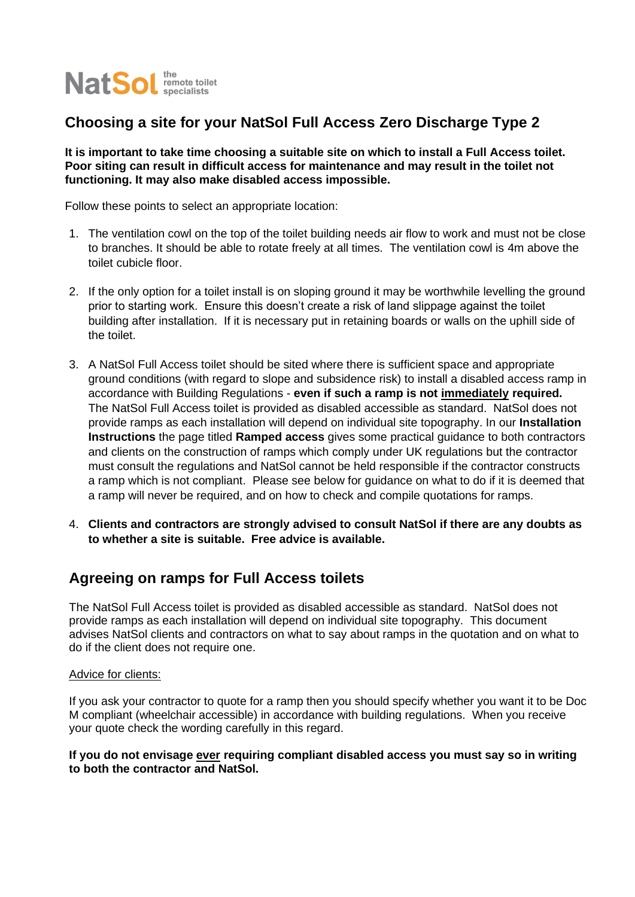

## **Choosing a site for your NatSol Full Access Zero Discharge Type 2**

**It is important to take time choosing a suitable site on which to install a Full Access toilet. Poor siting can result in difficult access for maintenance and may result in the toilet not functioning. It may also make disabled access impossible.** 

Follow these points to select an appropriate location:

- 1. The ventilation cowl on the top of the toilet building needs air flow to work and must not be close to branches. It should be able to rotate freely at all times. The ventilation cowl is 4m above the toilet cubicle floor.
- 2. If the only option for a toilet install is on sloping ground it may be worthwhile levelling the ground prior to starting work. Ensure this doesn't create a risk of land slippage against the toilet building after installation. If it is necessary put in retaining boards or walls on the uphill side of the toilet.
- 3. A NatSol Full Access toilet should be sited where there is sufficient space and appropriate ground conditions (with regard to slope and subsidence risk) to install a disabled access ramp in accordance with Building Regulations - **even if such a ramp is not immediately required.** The NatSol Full Access toilet is provided as disabled accessible as standard. NatSol does not provide ramps as each installation will depend on individual site topography. In our **Installation Instructions** the page titled **Ramped access** gives some practical guidance to both contractors and clients on the construction of ramps which comply under UK regulations but the contractor must consult the regulations and NatSol cannot be held responsible if the contractor constructs a ramp which is not compliant. Please see below for guidance on what to do if it is deemed that a ramp will never be required, and on how to check and compile quotations for ramps.
- 4. **Clients and contractors are strongly advised to consult NatSol if there are any doubts as to whether a site is suitable. Free advice is available.**

## **Agreeing on ramps for Full Access toilets**

The NatSol Full Access toilet is provided as disabled accessible as standard. NatSol does not provide ramps as each installation will depend on individual site topography. This document advises NatSol clients and contractors on what to say about ramps in the quotation and on what to do if the client does not require one.

#### Advice for clients:

If you ask your contractor to quote for a ramp then you should specify whether you want it to be Doc M compliant (wheelchair accessible) in accordance with building regulations. When you receive your quote check the wording carefully in this regard.

#### **If you do not envisage ever requiring compliant disabled access you must say so in writing to both the contractor and NatSol.**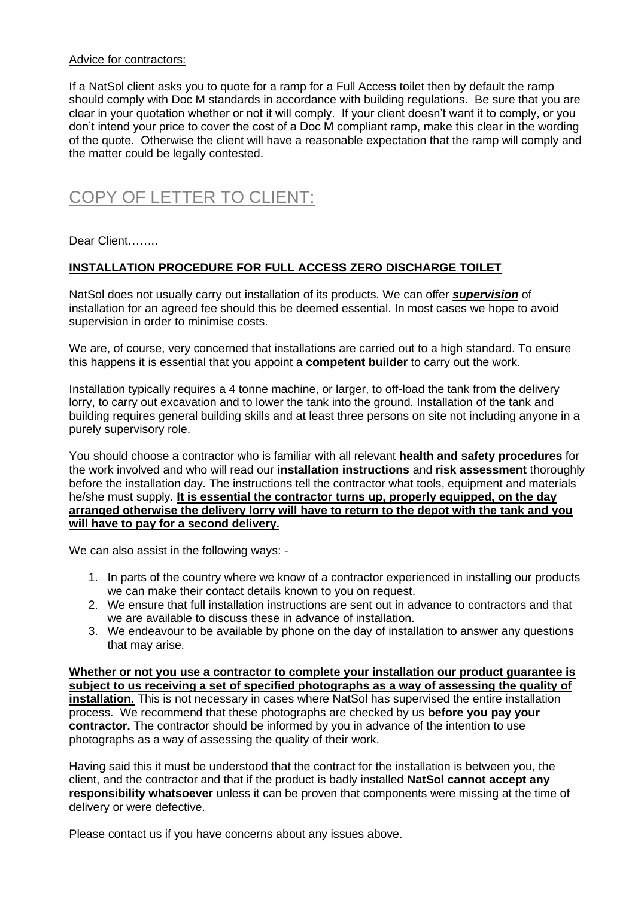#### Advice for contractors:

If a NatSol client asks you to quote for a ramp for a Full Access toilet then by default the ramp should comply with Doc M standards in accordance with building regulations. Be sure that you are clear in your quotation whether or not it will comply. If your client doesn't want it to comply, or you don't intend your price to cover the cost of a Doc M compliant ramp, make this clear in the wording of the quote. Otherwise the client will have a reasonable expectation that the ramp will comply and the matter could be legally contested.

# COPY OF LETTER TO CLIENT:

Dear Client……..

### **INSTALLATION PROCEDURE FOR FULL ACCESS ZERO DISCHARGE TOILET**

NatSol does not usually carry out installation of its products. We can offer *supervision* of installation for an agreed fee should this be deemed essential. In most cases we hope to avoid supervision in order to minimise costs.

We are, of course, very concerned that installations are carried out to a high standard. To ensure this happens it is essential that you appoint a **competent builder** to carry out the work.

Installation typically requires a 4 tonne machine, or larger, to off-load the tank from the delivery lorry, to carry out excavation and to lower the tank into the ground. Installation of the tank and building requires general building skills and at least three persons on site not including anyone in a purely supervisory role.

You should choose a contractor who is familiar with all relevant **health and safety procedures** for the work involved and who will read our **installation instructions** and **risk assessment** thoroughly before the installation day**.** The instructions tell the contractor what tools, equipment and materials he/she must supply. **It is essential the contractor turns up, properly equipped, on the day arranged otherwise the delivery lorry will have to return to the depot with the tank and you will have to pay for a second delivery.**

We can also assist in the following ways: -

- 1. In parts of the country where we know of a contractor experienced in installing our products we can make their contact details known to you on request.
- 2. We ensure that full installation instructions are sent out in advance to contractors and that we are available to discuss these in advance of installation.
- 3. We endeavour to be available by phone on the day of installation to answer any questions that may arise.

**Whether or not you use a contractor to complete your installation our product guarantee is subject to us receiving a set of specified photographs as a way of assessing the quality of installation.** This is not necessary in cases where NatSol has supervised the entire installation process. We recommend that these photographs are checked by us **before you pay your contractor.** The contractor should be informed by you in advance of the intention to use photographs as a way of assessing the quality of their work.

Having said this it must be understood that the contract for the installation is between you, the client, and the contractor and that if the product is badly installed **NatSol cannot accept any responsibility whatsoever** unless it can be proven that components were missing at the time of delivery or were defective.

Please contact us if you have concerns about any issues above.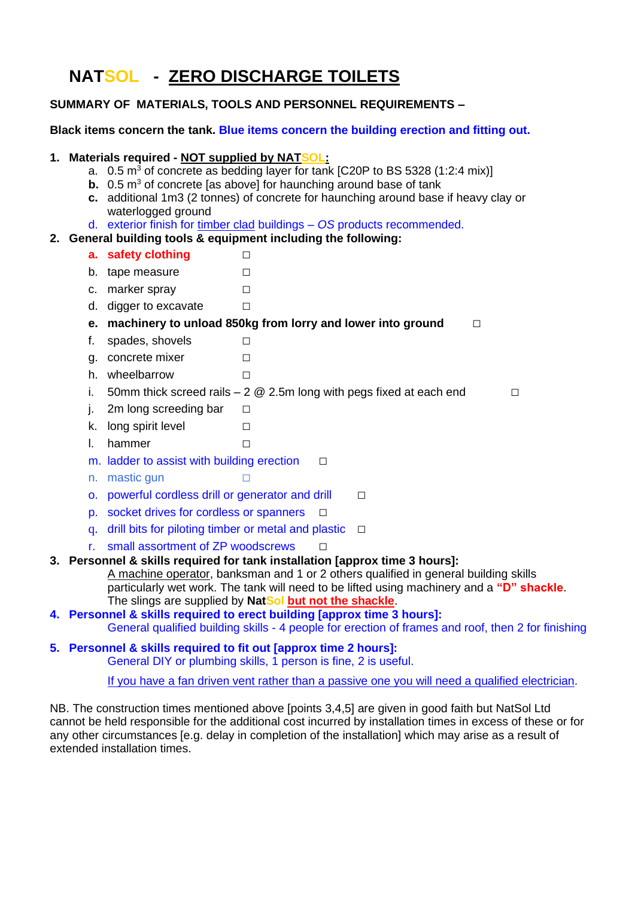# **NATSOL - ZERO DISCHARGE TOILETS**

### **SUMMARY OF MATERIALS, TOOLS AND PERSONNEL REQUIREMENTS –**

### **Black items concern the tank. Blue items concern the building erection and fitting out.**

### **1. Materials required - NOT supplied by NATSOL:**

- a.  $0.5 \text{ m}^3$  of concrete as bedding layer for tank [C20P to BS 5328 (1:2:4 mix)]
- **b.** 0.5 m<sup>3</sup> of concrete [as above] for haunching around base of tank
- **c.** additional 1m3 (2 tonnes) of concrete for haunching around base if heavy clay or waterlogged ground
- d. exterior finish for timber clad buildings *OS* products recommended.
- **2. General building tools & equipment including the following:**
	- **a.** safety clothing □
	- b. tape measure □
	- c. marker spray □
	- d. digger to excavate  $□$

**e.** machinery to unload 850kg from lorry and lower into ground □

- f. spades, shovels  $□$
- g. concrete mixer □
- h wheelbarrow □
- i. 50mm thick screed rails 2  $@$  2.5m long with pegs fixed at each end  $□$
- j. 2m long screeding bar  $□$
- k. long spirit level  $□$
- l. hammer □
- m. ladder to assist with building erection  $□$
- n. mastic gun □
- o. powerful cordless drill or generator and drill □
- p. socket drives for cordless or spanners □
- q. drill bits for piloting timber or metal and plastic  $□$
- r. small assortment of ZP woodscrews □

#### **3. Personnel & skills required for tank installation [approx time 3 hours]:**

A machine operator, banksman and 1 or 2 others qualified in general building skills particularly wet work. The tank will need to be lifted using machinery and a **"D" shackle**. The slings are supplied by **NatSol but not the shackle**.

- **4. Personnel & skills required to erect building [approx time 3 hours]:** General qualified building skills - 4 people for erection of frames and roof, then 2 for finishing
- **5. Personnel & skills required to fit out [approx time 2 hours]:** General DIY or plumbing skills, 1 person is fine, 2 is useful.

If you have a fan driven vent rather than a passive one you will need a qualified electrician.

NB. The construction times mentioned above [points 3,4,5] are given in good faith but NatSol Ltd cannot be held responsible for the additional cost incurred by installation times in excess of these or for any other circumstances [e.g. delay in completion of the installation] which may arise as a result of extended installation times.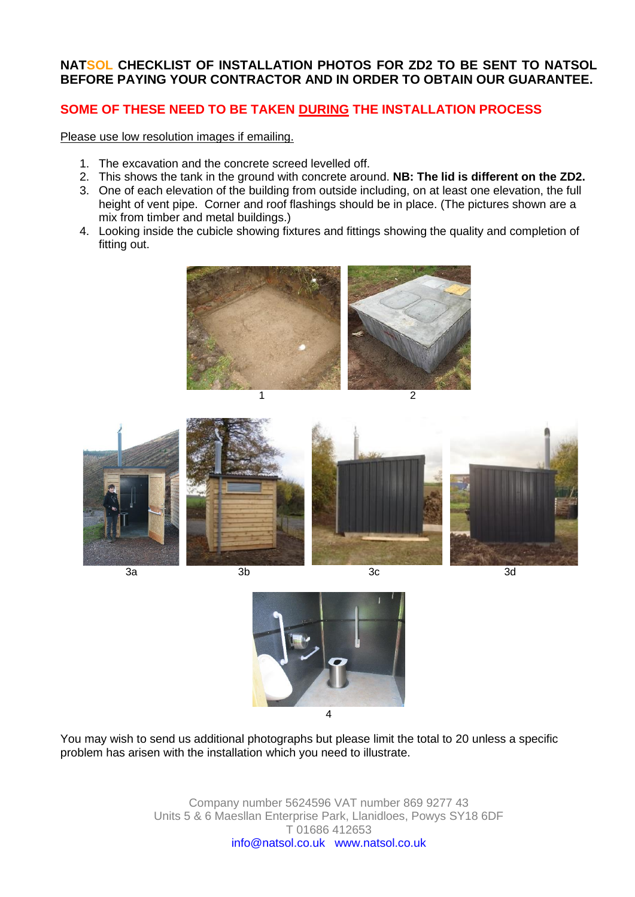### **NATSOL CHECKLIST OF INSTALLATION PHOTOS FOR ZD2 TO BE SENT TO NATSOL BEFORE PAYING YOUR CONTRACTOR AND IN ORDER TO OBTAIN OUR GUARANTEE.**

## **SOME OF THESE NEED TO BE TAKEN DURING THE INSTALLATION PROCESS**

Please use low resolution images if emailing.

- 1. The excavation and the concrete screed levelled off.
- 2. This shows the tank in the ground with concrete around. **NB: The lid is different on the ZD2.**
- 3. One of each elevation of the building from outside including, on at least one elevation, the full height of vent pipe. Corner and roof flashings should be in place. (The pictures shown are a mix from timber and metal buildings.)
- 4. Looking inside the cubicle showing fixtures and fittings showing the quality and completion of fitting out.







You may wish to send us additional photographs but please limit the total to 20 unless a specific problem has arisen with the installation which you need to illustrate.

> Company number 5624596 VAT number 869 9277 43 Units 5 & 6 Maesllan Enterprise Park, Llanidloes, Powys SY18 6DF T 01686 412653 info@natsol.co.uk www.natsol.co.uk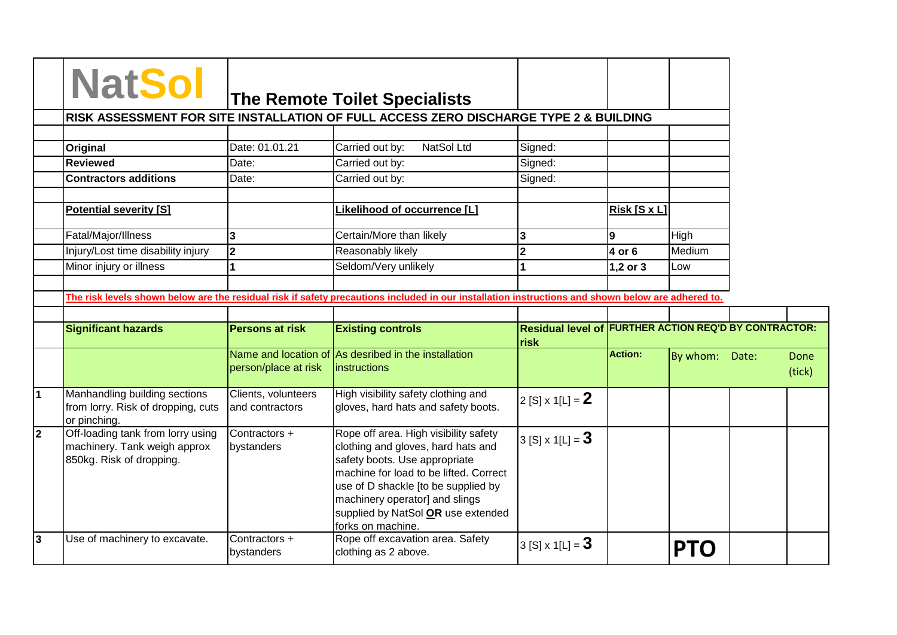|                                                                                                                                                   |                                        | RISK ASSESSMENT FOR SITE INSTALLATION OF FULL ACCESS ZERO DISCHARGE TYPE 2 & BUILDING                                                                                                                                                                                                      |                                                                      |                |          |       |  |
|---------------------------------------------------------------------------------------------------------------------------------------------------|----------------------------------------|--------------------------------------------------------------------------------------------------------------------------------------------------------------------------------------------------------------------------------------------------------------------------------------------|----------------------------------------------------------------------|----------------|----------|-------|--|
| Original                                                                                                                                          | Date: 01.01.21                         | NatSol Ltd<br>Carried out by:                                                                                                                                                                                                                                                              | Signed:                                                              |                |          |       |  |
| <b>Reviewed</b>                                                                                                                                   | Date:                                  | Carried out by:                                                                                                                                                                                                                                                                            | Signed:                                                              |                |          |       |  |
| <b>Contractors additions</b>                                                                                                                      | Date:                                  | Carried out by:                                                                                                                                                                                                                                                                            | Signed:                                                              |                |          |       |  |
| <b>Potential severity [S]</b>                                                                                                                     |                                        | Likelihood of occurrence [L]                                                                                                                                                                                                                                                               |                                                                      | Risk[SxL]      |          |       |  |
| Fatal/Major/Illness                                                                                                                               | 3                                      | Certain/More than likely                                                                                                                                                                                                                                                                   | 3                                                                    | 9              | High     |       |  |
| Injury/Lost time disability injury                                                                                                                | $\overline{\mathbf{2}}$                | Reasonably likely                                                                                                                                                                                                                                                                          | $\overline{2}$                                                       | 4 or 6         | Medium   |       |  |
| Minor injury or illness                                                                                                                           | $\mathbf{1}$                           | Seldom/Very unlikely                                                                                                                                                                                                                                                                       |                                                                      | 1,2 or 3       | Low      |       |  |
| The risk levels shown below are the residual risk if safety precautions included in our installation instructions and shown below are adhered to. |                                        |                                                                                                                                                                                                                                                                                            |                                                                      |                |          |       |  |
| <b>Significant hazards</b>                                                                                                                        | <b>Persons at risk</b>                 | <b>Existing controls</b>                                                                                                                                                                                                                                                                   | <b>Residual level of FURTHER ACTION REQ'D BY CONTRACTOR:</b><br>risk |                |          |       |  |
|                                                                                                                                                   | person/place at risk                   | Name and location of As desribed in the installation<br>instructions                                                                                                                                                                                                                       |                                                                      | <b>Action:</b> | By whom: | Date: |  |
| Manhandling building sections<br>from lorry. Risk of dropping, cuts<br>or pinching.                                                               | Clients, volunteers<br>and contractors | High visibility safety clothing and<br>gloves, hard hats and safety boots.                                                                                                                                                                                                                 | 2 [S] x 1[L] = $2$                                                   |                |          |       |  |
| Off-loading tank from lorry using<br>machinery. Tank weigh approx<br>850kg. Risk of dropping.                                                     | Contractors +<br>bystanders            | Rope off area. High visibility safety<br>clothing and gloves, hard hats and<br>safety boots. Use appropriate<br>machine for load to be lifted. Correct<br>use of D shackle [to be supplied by<br>machinery operator] and slings<br>supplied by NatSol OR use extended<br>forks on machine. | 3 [S] x 1[L] = $3$                                                   |                |          |       |  |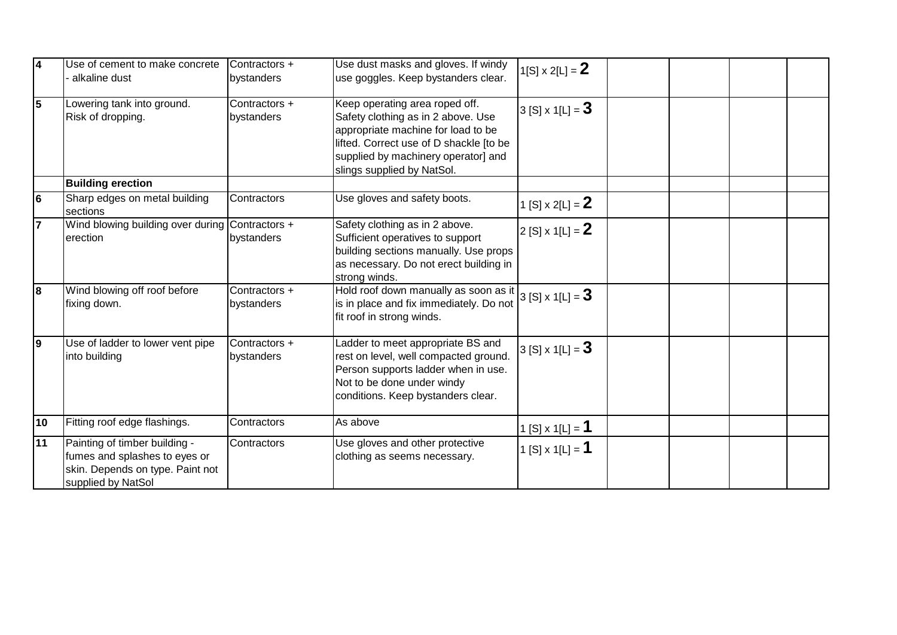| 14 | Use of cement to make concrete<br>alkaline dust                                                                          | Contractors +<br>bystanders | Use dust masks and gloves. If windy<br>use goggles. Keep bystanders clear.                                                                                                                                                 | $1[S] \times 2[L] = 2$         |  |  |
|----|--------------------------------------------------------------------------------------------------------------------------|-----------------------------|----------------------------------------------------------------------------------------------------------------------------------------------------------------------------------------------------------------------------|--------------------------------|--|--|
| 15 | Lowering tank into ground.<br>Risk of dropping.                                                                          | Contractors +<br>bystanders | Keep operating area roped off.<br>Safety clothing as in 2 above. Use<br>appropriate machine for load to be<br>lifted. Correct use of D shackle [to be<br>supplied by machinery operator] and<br>slings supplied by NatSol. | 3 [S] x 1[L] = $3$             |  |  |
|    | <b>Building erection</b>                                                                                                 |                             |                                                                                                                                                                                                                            |                                |  |  |
| l6 | Sharp edges on metal building<br>sections                                                                                | Contractors                 | Use gloves and safety boots.                                                                                                                                                                                               | 1 [S] $\times$ 2[L] = <b>2</b> |  |  |
|    | Wind blowing building over during Contractors +<br>erection                                                              | bystanders                  | Safety clothing as in 2 above.<br>Sufficient operatives to support<br>building sections manually. Use props<br>as necessary. Do not erect building in<br>strong winds.                                                     | $2$ [S] x 1[L] = <b>2</b>      |  |  |
| l8 | Wind blowing off roof before<br>fixing down.                                                                             | Contractors +<br>bystanders | Hold roof down manually as soon as it<br>is in place and fix immediately. Do not<br>fit roof in strong winds.                                                                                                              | 3 [S] x 1[L] = $3$             |  |  |
| 9  | Use of ladder to lower vent pipe<br>into building                                                                        | Contractors +<br>bystanders | Ladder to meet appropriate BS and<br>rest on level, well compacted ground.<br>Person supports ladder when in use.<br>Not to be done under windy<br>conditions. Keep bystanders clear.                                      | 3 [S] $\times$ 1[L] = <b>3</b> |  |  |
| 10 | Fitting roof edge flashings.                                                                                             | Contractors                 | As above                                                                                                                                                                                                                   | <u>1 [S] x</u> 1[L] = <b>1</b> |  |  |
| 11 | Painting of timber building -<br>fumes and splashes to eyes or<br>skin. Depends on type. Paint not<br>supplied by NatSol | Contractors                 | Use gloves and other protective<br>clothing as seems necessary.                                                                                                                                                            | 1 [S] x 1[L] = <b>1</b>        |  |  |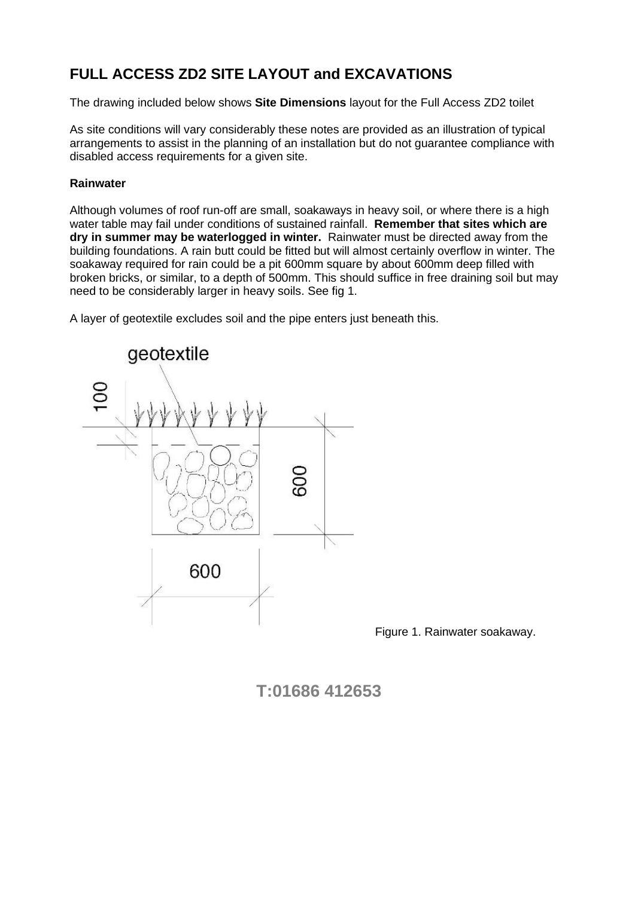# **FULL ACCESS ZD2 SITE LAYOUT and EXCAVATIONS**

The drawing included below shows **Site Dimensions** layout for the Full Access ZD2 toilet

As site conditions will vary considerably these notes are provided as an illustration of typical arrangements to assist in the planning of an installation but do not guarantee compliance with disabled access requirements for a given site.

### **Rainwater**

Although volumes of roof run-off are small, soakaways in heavy soil, or where there is a high water table may fail under conditions of sustained rainfall. **Remember that sites which are dry in summer may be waterlogged in winter.** Rainwater must be directed away from the building foundations. A rain butt could be fitted but will almost certainly overflow in winter. The soakaway required for rain could be a pit 600mm square by about 600mm deep filled with broken bricks, or similar, to a depth of 500mm. This should suffice in free draining soil but may need to be considerably larger in heavy soils. See fig 1.

A layer of geotextile excludes soil and the pipe enters just beneath this.



Figure 1. Rainwater soakaway.

**T:01686 412653**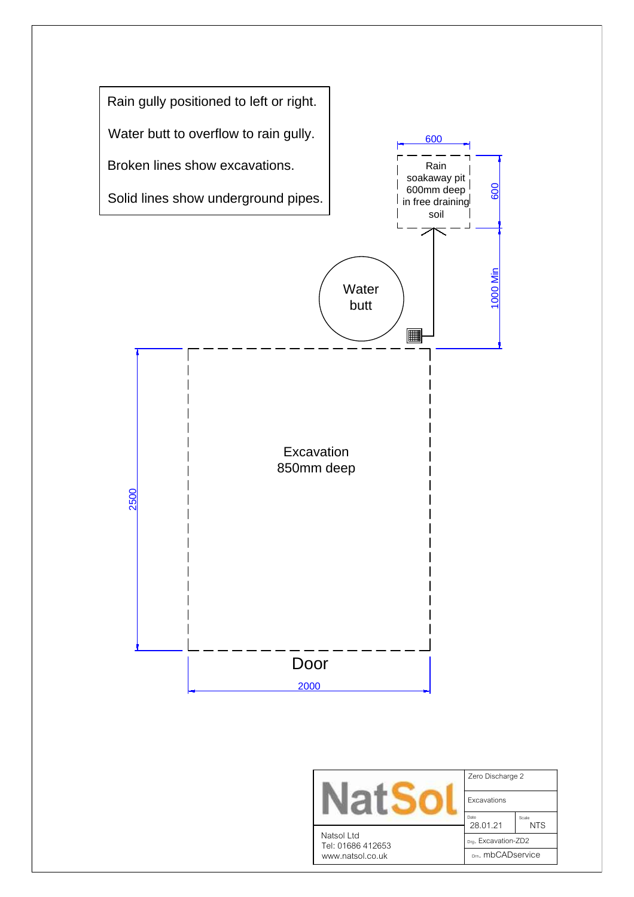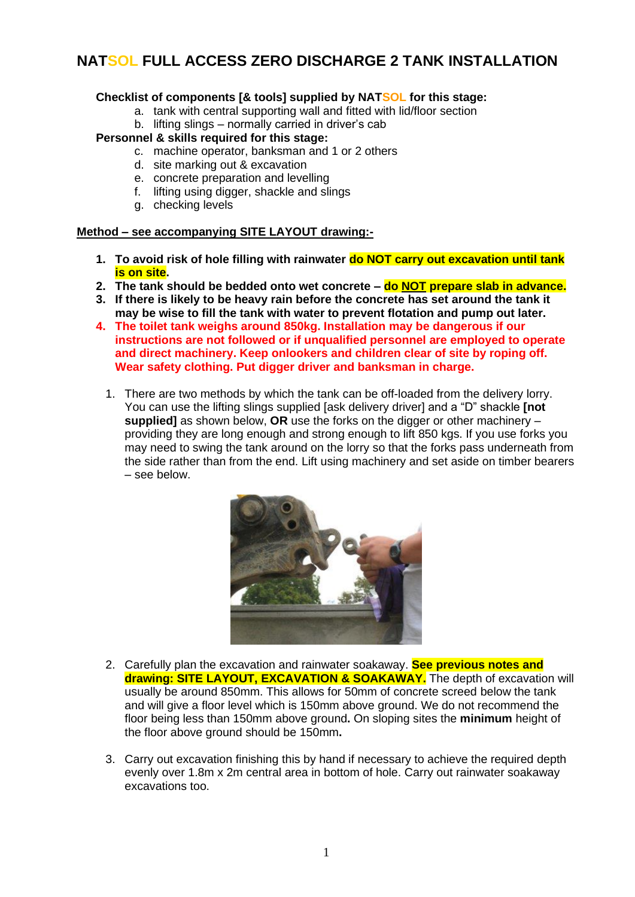# **NATSOL FULL ACCESS ZERO DISCHARGE 2 TANK INSTALLATION**

### **Checklist of components [& tools] supplied by NATSOL for this stage:**

- a. tank with central supporting wall and fitted with lid/floor section
- b. lifting slings normally carried in driver's cab

### **Personnel & skills required for this stage:**

- c. machine operator, banksman and 1 or 2 others
- d. site marking out & excavation
- e. concrete preparation and levelling
- f. lifting using digger, shackle and slings
- g. checking levels

#### **Method – see accompanying SITE LAYOUT drawing:-**

- **1. To avoid risk of hole filling with rainwater do NOT carry out excavation until tank is on site.**
- **2. The tank should be bedded onto wet concrete – do NOT prepare slab in advance.**
- **3. If there is likely to be heavy rain before the concrete has set around the tank it may be wise to fill the tank with water to prevent flotation and pump out later.**
- **4. The toilet tank weighs around 850kg. Installation may be dangerous if our instructions are not followed or if unqualified personnel are employed to operate and direct machinery. Keep onlookers and children clear of site by roping off. Wear safety clothing. Put digger driver and banksman in charge.**
	- 1. There are two methods by which the tank can be off-loaded from the delivery lorry. You can use the lifting slings supplied [ask delivery driver] and a "D" shackle **[not supplied]** as shown below, **OR** use the forks on the digger or other machinery – providing they are long enough and strong enough to lift 850 kgs. If you use forks you may need to swing the tank around on the lorry so that the forks pass underneath from the side rather than from the end. Lift using machinery and set aside on timber bearers – see below.



- 2. Carefully plan the excavation and rainwater soakaway. **See previous notes and drawing: SITE LAYOUT, EXCAVATION & SOAKAWAY.** The depth of excavation will usually be around 850mm. This allows for 50mm of concrete screed below the tank and will give a floor level which is 150mm above ground. We do not recommend the floor being less than 150mm above ground**.** On sloping sites the **minimum** height of the floor above ground should be 150mm**.**
- 3. Carry out excavation finishing this by hand if necessary to achieve the required depth evenly over 1.8m x 2m central area in bottom of hole. Carry out rainwater soakaway excavations too.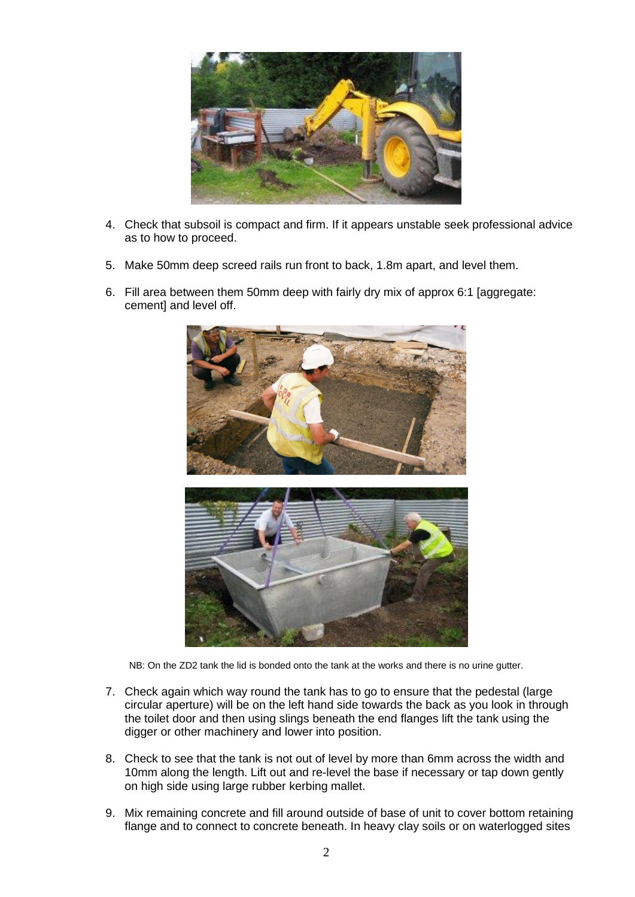

- 4. Check that subsoil is compact and firm. If it appears unstable seek professional advice as to how to proceed.
- 5. Make 50mm deep screed rails run front to back, 1.8m apart, and level them.
- 6. Fill area between them 50mm deep with fairly dry mix of approx 6:1 [aggregate: cement] and level off.



NB: On the ZD2 tank the lid is bonded onto the tank at the works and there is no urine gutter.

- 7. Check again which way round the tank has to go to ensure that the pedestal (large circular aperture) will be on the left hand side towards the back as you look in through the toilet door and then using slings beneath the end flanges lift the tank using the digger or other machinery and lower into position.
- 8. Check to see that the tank is not out of level by more than 6mm across the width and 10mm along the length. Lift out and re-level the base if necessary or tap down gently on high side using large rubber kerbing mallet.
- 9. Mix remaining concrete and fill around outside of base of unit to cover bottom retaining flange and to connect to concrete beneath. In heavy clay soils or on waterlogged sites